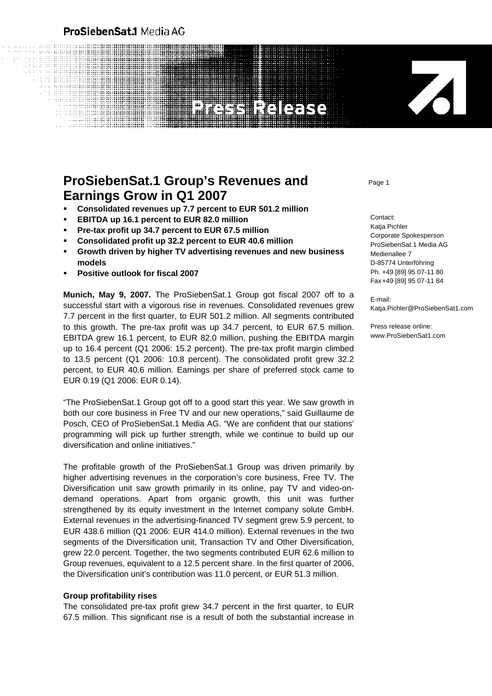## **ProSiebenSat.1 Media AG**

a an an

# **ProSiebenSat.1 Group's Revenues and**  $P_{Page 1}$ **Earnings Grow in Q1 2007**

- **Consolidated revenues up 7.7 percent to EUR 501.2 million**
- **EBITDA up 16.1 percent to EUR 82.0 million**
- **Pre-tax profit up 34.7 percent to EUR 67.5 million**
- **Consolidated profit up 32.2 percent to EUR 40.6 million**
- **Growth driven by higher TV advertising revenues and new business models**
- **Positive outlook for fiscal 2007**

**Munich, May 9, 2007.** The ProSiebenSat.1 Group got fiscal 2007 off to a successful start with a vigorous rise in revenues. Consolidated revenues grew 7.7 percent in the first quarter, to EUR 501.2 million. All segments contributed to this growth. The pre-tax profit was up 34.7 percent, to EUR 67.5 million. EBITDA grew 16.1 percent, to EUR 82.0 million, pushing the EBITDA margin up to 16.4 percent (Q1 2006: 15.2 percent). The pre-tax profit margin climbed to 13.5 percent (Q1 2006: 10.8 percent). The consolidated profit grew 32.2 percent, to EUR 40.6 million. Earnings per share of preferred stock came to EUR 0.19 (Q1 2006: EUR 0.14).

"The ProSiebenSat.1 Group got off to a good start this year. We saw growth in both our core business in Free TV and our new operations," said Guillaume de Posch, CEO of ProSiebenSat.1 Media AG. "We are confident that our stations' programming will pick up further strength, while we continue to build up our diversification and online initiatives."

The profitable growth of the ProSiebenSat.1 Group was driven primarily by higher advertising revenues in the corporation's core business, Free TV. The Diversification unit saw growth primarily in its online, pay TV and video-ondemand operations. Apart from organic growth, this unit was further strengthened by its equity investment in the Internet company solute GmbH. External revenues in the advertising-financed TV segment grew 5.9 percent, to EUR 438.6 million (Q1 2006: EUR 414.0 million). External revenues in the two segments of the Diversification unit, Transaction TV and Other Diversification, grew 22.0 percent. Together, the two segments contributed EUR 62.6 million to Group revenues, equivalent to a 12.5 percent share. In the first quarter of 2006, the Diversification unit's contribution was 11.0 percent, or EUR 51.3 million.

#### **Group profitability rises**

The consolidated pre-tax profit grew 34.7 percent in the first quarter, to EUR 67.5 million. This significant rise is a result of both the substantial increase in

Contact: Katja Pichler Corporate Spokesperson ProSiebenSat.1 Media AG Medienallee 7 D-85774 Unterföhring Ph. +49 [89] 95 07-11 80 Fax +49 [89] 95 07-11 84

E-mail: Katia.Pichler@ProSiebenSat1.com

 $\overline{\mathbf{A}}$ 

Press release online: www.ProSiebenSat1.com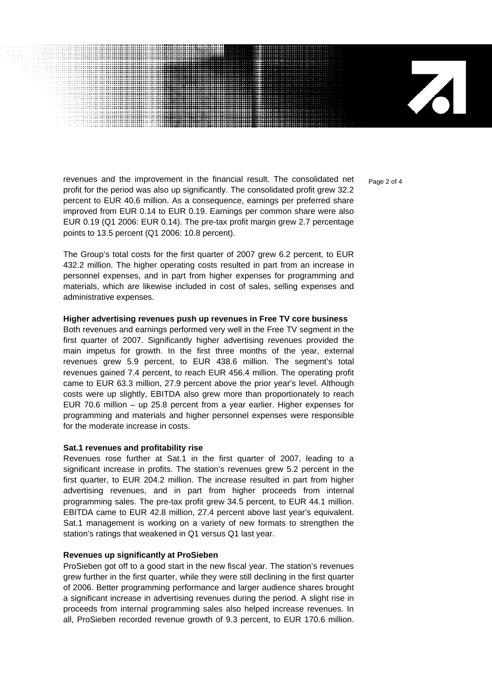$\mathbf{Z}$ 

revenues and the improvement in the financial result. The consolidated net  $P_{\text{a}q}$   $_{2}$  of 4 profit for the period was also up significantly. The consolidated profit grew 32.2 percent to EUR 40.6 million. As a consequence, earnings per preferred share improved from EUR 0.14 to EUR 0.19. Earnings per common share were also EUR 0.19 (Q1 2006: EUR 0.14). The pre-tax profit margin grew 2.7 percentage points to 13.5 percent (Q1 2006: 10.8 percent).

The Group's total costs for the first quarter of 2007 grew 6.2 percent, to EUR 432.2 million. The higher operating costs resulted in part from an increase in personnel expenses, and in part from higher expenses for programming and materials, which are likewise included in cost of sales, selling expenses and administrative expenses.

#### **Higher advertising revenues push up revenues in Free TV core business**

Both revenues and earnings performed very well in the Free TV segment in the first quarter of 2007. Significantly higher advertising revenues provided the main impetus for growth. In the first three months of the year, external revenues grew 5.9 percent, to EUR 438.6 million. The segment's total revenues gained 7.4 percent, to reach EUR 456.4 million. The operating profit came to EUR 63.3 million, 27.9 percent above the prior year's level. Although costs were up slightly, EBITDA also grew more than proportionately to reach EUR 70.6 million – up 25.8 percent from a year earlier. Higher expenses for programming and materials and higher personnel expenses were responsible for the moderate increase in costs.

#### **Sat.1 revenues and profitability rise**

Revenues rose further at Sat.1 in the first quarter of 2007, leading to a significant increase in profits. The station's revenues grew 5.2 percent in the first quarter, to EUR 204.2 million. The increase resulted in part from higher advertising revenues, and in part from higher proceeds from internal programming sales. The pre-tax profit grew 34.5 percent, to EUR 44.1 million. EBITDA came to EUR 42.8 million, 27.4 percent above last year's equivalent. Sat.1 management is working on a variety of new formats to strengthen the station's ratings that weakened in Q1 versus Q1 last year.

### **Revenues up significantly at ProSieben**

ProSieben got off to a good start in the new fiscal year. The station's revenues grew further in the first quarter, while they were still declining in the first quarter of 2006. Better programming performance and larger audience shares brought a significant increase in advertising revenues during the period. A slight rise in proceeds from internal programming sales also helped increase revenues. In all, ProSieben recorded revenue growth of 9.3 percent, to EUR 170.6 million.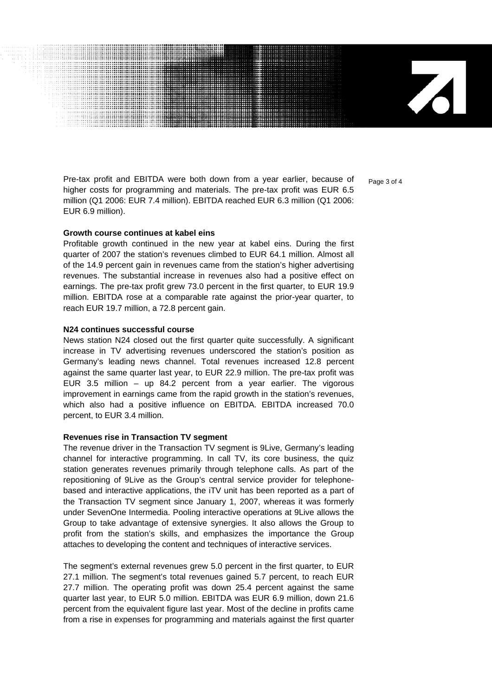7

Pre-tax profit and EBITDA were both down from a year earlier, because of  $P_{\text{a}ae 3 of 4}$ higher costs for programming and materials. The pre-tax profit was EUR 6.5 million (Q1 2006: EUR 7.4 million). EBITDA reached EUR 6.3 million (Q1 2006: EUR 6.9 million).

#### **Growth course continues at kabel eins**

Profitable growth continued in the new year at kabel eins. During the first quarter of 2007 the station's revenues climbed to EUR 64.1 million. Almost all of the 14.9 percent gain in revenues came from the station's higher advertising revenues. The substantial increase in revenues also had a positive effect on earnings. The pre-tax profit grew 73.0 percent in the first quarter, to EUR 19.9 million. EBITDA rose at a comparable rate against the prior-year quarter, to reach EUR 19.7 million, a 72.8 percent gain.

#### **N24 continues successful course**

News station N24 closed out the first quarter quite successfully. A significant increase in TV advertising revenues underscored the station's position as Germany's leading news channel. Total revenues increased 12.8 percent against the same quarter last year, to EUR 22.9 million. The pre-tax profit was EUR 3.5 million – up 84.2 percent from a year earlier. The vigorous improvement in earnings came from the rapid growth in the station's revenues, which also had a positive influence on EBITDA. EBITDA increased 70.0 percent, to EUR 3.4 million.

#### **Revenues rise in Transaction TV segment**

The revenue driver in the Transaction TV segment is 9Live, Germany's leading channel for interactive programming. In call TV, its core business, the quiz station generates revenues primarily through telephone calls. As part of the repositioning of 9Live as the Group's central service provider for telephonebased and interactive applications, the iTV unit has been reported as a part of the Transaction TV segment since January 1, 2007, whereas it was formerly under SevenOne Intermedia. Pooling interactive operations at 9Live allows the Group to take advantage of extensive synergies. It also allows the Group to profit from the station's skills, and emphasizes the importance the Group attaches to developing the content and techniques of interactive services.

The segment's external revenues grew 5.0 percent in the first quarter, to EUR 27.1 million. The segment's total revenues gained 5.7 percent, to reach EUR 27.7 million. The operating profit was down 25.4 percent against the same quarter last year, to EUR 5.0 million. EBITDA was EUR 6.9 million, down 21.6 percent from the equivalent figure last year. Most of the decline in profits came from a rise in expenses for programming and materials against the first quarter